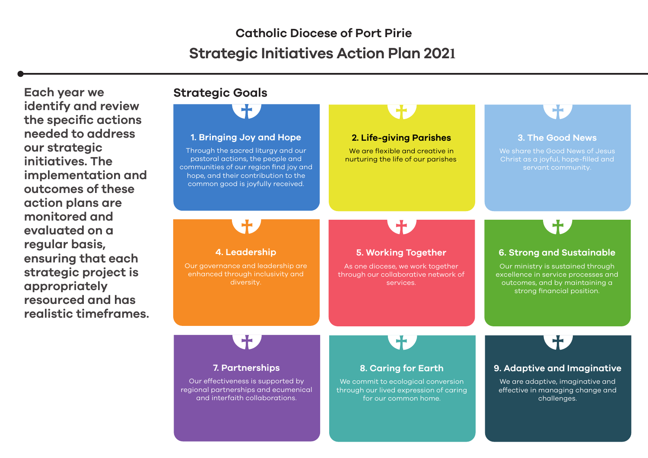**Each year we identify and review the specific actions needed to address our strategic initiatives. The implementation and outcomes of these action plans are monitored and evaluated on a regular basis, ensuring that each strategic project is appropriately resourced and has realistic timeframes.**

#### **Strategic Goals**

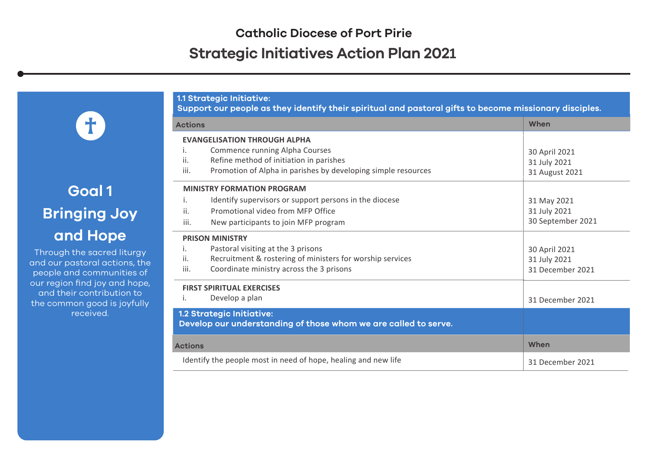**1.1 Strategic Initiative:** 

# **Goal 1 Bringing Joy and Hope**

T.

Through the sacred liturgy and our pastoral actions, the people and communities of our region find joy and hope, and their contribution to the common good is joyfully received.

| Support our people as they identify their spiritual and pastoral gifts to become missionary disciples. |                                                                                              |                   |
|--------------------------------------------------------------------------------------------------------|----------------------------------------------------------------------------------------------|-------------------|
| <b>Actions</b>                                                                                         |                                                                                              | When              |
|                                                                                                        | <b>EVANGELISATION THROUGH ALPHA</b>                                                          |                   |
|                                                                                                        | Commence running Alpha Courses                                                               | 30 April 2021     |
| ii.                                                                                                    | Refine method of initiation in parishes                                                      | 31 July 2021      |
| iii.                                                                                                   | Promotion of Alpha in parishes by developing simple resources                                | 31 August 2021    |
|                                                                                                        | <b>MINISTRY FORMATION PROGRAM</b>                                                            |                   |
| İ.                                                                                                     | Identify supervisors or support persons in the diocese                                       | 31 May 2021       |
| ii.                                                                                                    | Promotional video from MFP Office                                                            | 31 July 2021      |
| iii.                                                                                                   | New participants to join MFP program                                                         | 30 September 2021 |
| <b>PRISON MINISTRY</b>                                                                                 |                                                                                              |                   |
| Ι.                                                                                                     | Pastoral visiting at the 3 prisons                                                           | 30 April 2021     |
| ii.                                                                                                    | Recruitment & rostering of ministers for worship services                                    | 31 July 2021      |
| iii.                                                                                                   | Coordinate ministry across the 3 prisons                                                     | 31 December 2021  |
| <b>FIRST SPIRITUAL EXERCISES</b>                                                                       |                                                                                              |                   |
| i.                                                                                                     | Develop a plan                                                                               | 31 December 2021  |
|                                                                                                        | 1.2 Strategic Initiative:<br>Develop our understanding of those whom we are called to serve. |                   |
| <b>Actions</b>                                                                                         |                                                                                              | When              |
| Identify the people most in need of hope, healing and new life                                         |                                                                                              | 31 December 2021  |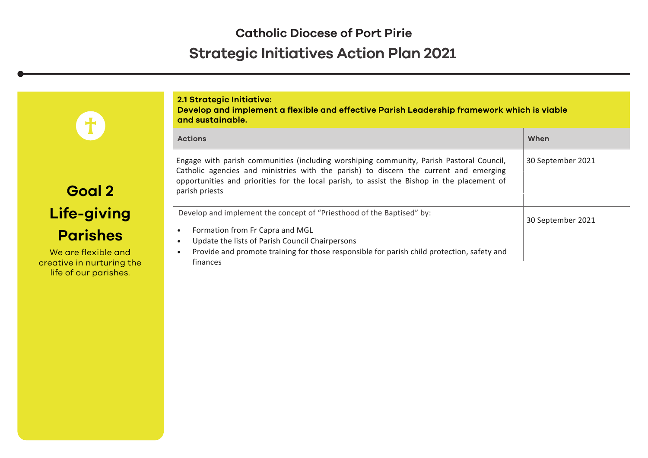| $\ddagger$                                                                | 2.1 Strategic Initiative:<br>Develop and implement a flexible and effective Parish Leadership framework which is viable<br>and sustainable.                                                                                                                                                        |                   |  |
|---------------------------------------------------------------------------|----------------------------------------------------------------------------------------------------------------------------------------------------------------------------------------------------------------------------------------------------------------------------------------------------|-------------------|--|
|                                                                           | <b>Actions</b>                                                                                                                                                                                                                                                                                     | When              |  |
| Goal 2                                                                    | Engage with parish communities (including worshiping community, Parish Pastoral Council,<br>Catholic agencies and ministries with the parish) to discern the current and emerging<br>opportunities and priorities for the local parish, to assist the Bishop in the placement of<br>parish priests | 30 September 2021 |  |
| Life-giving                                                               | Develop and implement the concept of "Priesthood of the Baptised" by:                                                                                                                                                                                                                              | 30 September 2021 |  |
| <b>Parishes</b>                                                           | Formation from Fr Capra and MGL<br>Update the lists of Parish Council Chairpersons                                                                                                                                                                                                                 |                   |  |
| We are flexible and<br>creative in nurturing the<br>life of our parishes. | Provide and promote training for those responsible for parish child protection, safety and<br>finances                                                                                                                                                                                             |                   |  |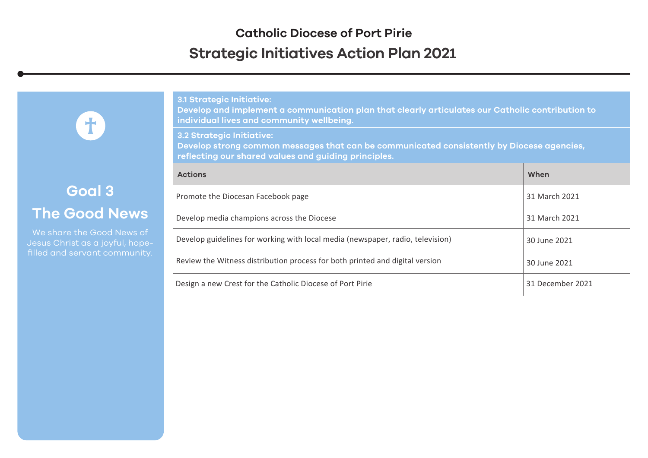**3.1 Strategic Initiative:**

# **Goal 3 The Good News**

 $\mathbf{f}$ 

Jesus Christ as a joyful, hope-

| <u>o. oci accalo iniciacivo.</u><br>Develop and implement a communication plan that clearly articulates our Catholic contribution to<br>individual lives and community wellbeing.     |                  |
|---------------------------------------------------------------------------------------------------------------------------------------------------------------------------------------|------------------|
| <b>3.2 Strategic Initiative:</b><br>Develop strong common messages that can be communicated consistently by Diocese agencies,<br>reflecting our shared values and guiding principles. |                  |
| <b>Actions</b>                                                                                                                                                                        | When             |
| Promote the Diocesan Facebook page                                                                                                                                                    | 31 March 2021    |
| Develop media champions across the Diocese                                                                                                                                            | 31 March 2021    |
| Develop guidelines for working with local media (newspaper, radio, television)                                                                                                        | 30 June 2021     |
| Review the Witness distribution process for both printed and digital version                                                                                                          | 30 June 2021     |
| Design a new Crest for the Catholic Diocese of Port Pirie                                                                                                                             | 31 December 2021 |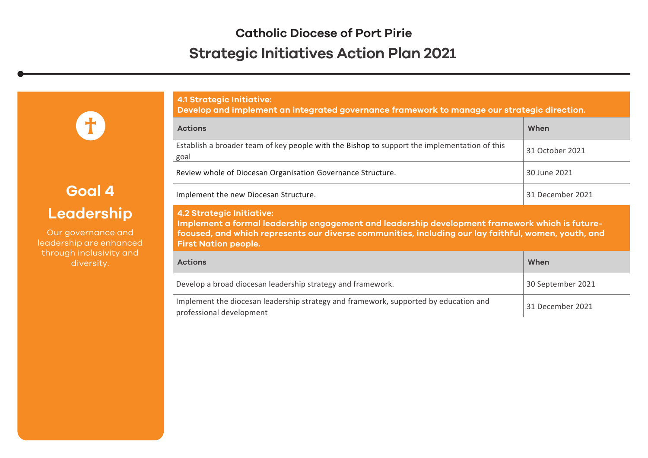**4.1 Strategic Initiative:** 

# **Goal 4 Leadership**

8

Our governance and leadership are enhanced through inclusivity and diversity.

| Develop and implement an integrated governance framework to manage our strategic direction.                                                                                                                                                                               |                   |  |
|---------------------------------------------------------------------------------------------------------------------------------------------------------------------------------------------------------------------------------------------------------------------------|-------------------|--|
| <b>Actions</b>                                                                                                                                                                                                                                                            | When              |  |
| Establish a broader team of key people with the Bishop to support the implementation of this<br>goal                                                                                                                                                                      | 31 October 2021   |  |
| Review whole of Diocesan Organisation Governance Structure.                                                                                                                                                                                                               | 30 June 2021      |  |
| Implement the new Diocesan Structure.                                                                                                                                                                                                                                     | 31 December 2021  |  |
| <b>4.2 Strategic Initiative:</b><br>Implement a formal leadership engagement and leadership development framework which is future-<br>focused, and which represents our diverse communities, including our lay faithful, women, youth, and<br><b>First Nation people.</b> |                   |  |
| <b>Actions</b>                                                                                                                                                                                                                                                            | When              |  |
| Develop a broad diocesan leadership strategy and framework.                                                                                                                                                                                                               |                   |  |
|                                                                                                                                                                                                                                                                           | 30 September 2021 |  |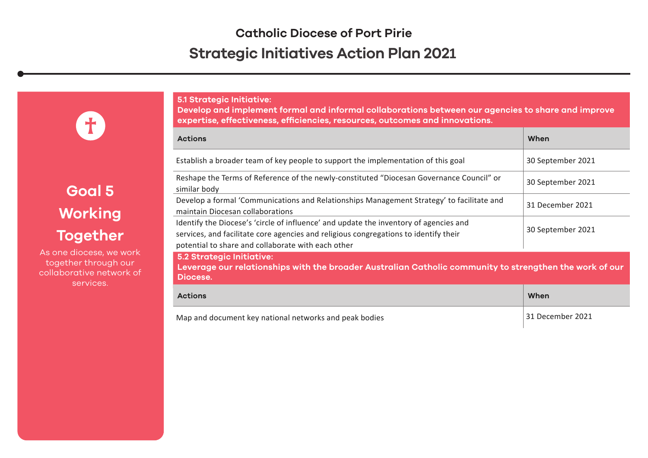**5.1 Strategic Initiative:** 

**Develop and implement formal and informal collaborations between our agencies to share and improve expertise, effectiveness, efficiencies, resources, outcomes and innovations.**

| <b>Actions</b>                                                                                                                                                                                                                      | When              |
|-------------------------------------------------------------------------------------------------------------------------------------------------------------------------------------------------------------------------------------|-------------------|
| Establish a broader team of key people to support the implementation of this goal                                                                                                                                                   | 30 September 2021 |
| Reshape the Terms of Reference of the newly-constituted "Diocesan Governance Council" or<br>similar body                                                                                                                            | 30 September 2021 |
| Develop a formal 'Communications and Relationships Management Strategy' to facilitate and<br>maintain Diocesan collaborations                                                                                                       | 31 December 2021  |
| Identify the Diocese's 'circle of influence' and update the inventory of agencies and<br>services, and facilitate core agencies and religious congregations to identify their<br>potential to share and collaborate with each other | 30 September 2021 |
| <b>5.2 Strategic Initiative:</b><br>Leverage our relationships with the broader Australian Catholic community to strengthen the work of our<br>Diocese.                                                                             |                   |
| <b>Actions</b>                                                                                                                                                                                                                      | When              |
| Map and document key national networks and peak bodies                                                                                                                                                                              | 31 December 2021  |

**Goal 5 Working Together**

T)

As one diocese, we work together through our collaborative network of services.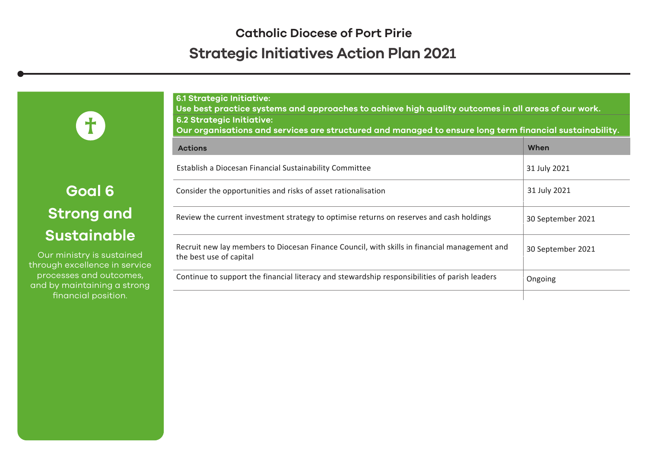**Goal 6 Strong and Sustainable**

**T** 

Our ministry is sustained through excellence in service processes and outcomes, and by maintaining a strong financial position.

| <b>6.1 Strategic Initiative:</b><br>Use best practice systems and approaches to achieve high quality outcomes in all areas of our work.<br><b>6.2 Strategic Initiative:</b><br>Our organisations and services are structured and managed to ensure long term financial sustainability. |                   |
|----------------------------------------------------------------------------------------------------------------------------------------------------------------------------------------------------------------------------------------------------------------------------------------|-------------------|
| <b>Actions</b>                                                                                                                                                                                                                                                                         | When              |
| Establish a Diocesan Financial Sustainability Committee                                                                                                                                                                                                                                | 31 July 2021      |
| Consider the opportunities and risks of asset rationalisation                                                                                                                                                                                                                          | 31 July 2021      |
| Review the current investment strategy to optimise returns on reserves and cash holdings                                                                                                                                                                                               | 30 September 2021 |
| Recruit new lay members to Diocesan Finance Council, with skills in financial management and<br>the best use of capital                                                                                                                                                                | 30 September 2021 |
| Continue to support the financial literacy and stewardship responsibilities of parish leaders                                                                                                                                                                                          | Ongoing           |
|                                                                                                                                                                                                                                                                                        |                   |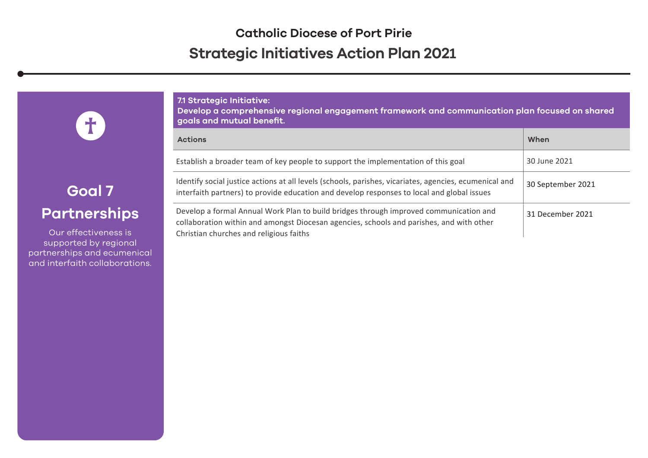#### **7.1 Strategic Initiative:**

**Develop a comprehensive regional engagement framework and communication plan focused on shared goals and mutual benefit.**

| <b>Actions</b>                                                                                                                                                                                                               | When              |
|------------------------------------------------------------------------------------------------------------------------------------------------------------------------------------------------------------------------------|-------------------|
| Establish a broader team of key people to support the implementation of this goal                                                                                                                                            | 30 June 2021      |
| Identify social justice actions at all levels (schools, parishes, vicariates, agencies, ecumenical and<br>interfaith partners) to provide education and develop responses to local and global issues                         | 30 September 2021 |
| Develop a formal Annual Work Plan to build bridges through improved communication and<br>collaboration within and amongst Diocesan agencies, schools and parishes, and with other<br>Christian churches and religious faiths | 31 December 2021  |

## **Goal 7 Partnerships**

T)

Our effectiveness is supported by regional partnerships and ecumenical and interfaith collaborations.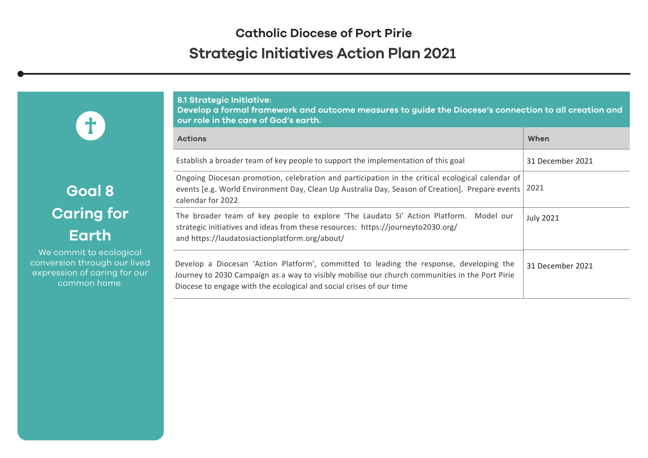**8.1 Strategic Initiative:** 

**Goal 8 Caring for Earth**

8

We commit to ecological conversion through our lived expression of caring for our common home.

| Develop a formal framework and outcome measures to guide the Diocese's connection to all creation and<br>our role in the care of God's earth.                                                                                                                    |                  |  |
|------------------------------------------------------------------------------------------------------------------------------------------------------------------------------------------------------------------------------------------------------------------|------------------|--|
| <b>Actions</b>                                                                                                                                                                                                                                                   | When             |  |
| Establish a broader team of key people to support the implementation of this goal                                                                                                                                                                                | 31 December 2021 |  |
| Ongoing Diocesan promotion, celebration and participation in the critical ecological calendar of<br>events [e.g. World Environment Day, Clean Up Australia Day, Season of Creation]. Prepare events<br>calendar for 2022                                         | 2021             |  |
| The broader team of key people to explore 'The Laudato Si' Action Platform. Model our<br>strategic initiatives and ideas from these resources: https://journeyto2030.org/<br>and https://laudatosiactionplatform.org/about/                                      | <b>July 2021</b> |  |
| Develop a Diocesan 'Action Platform', committed to leading the response, developing the<br>Journey to 2030 Campaign as a way to visibly mobilise our church communities in the Port Pirie<br>Diocese to engage with the ecological and social crises of our time | 31 December 2021 |  |